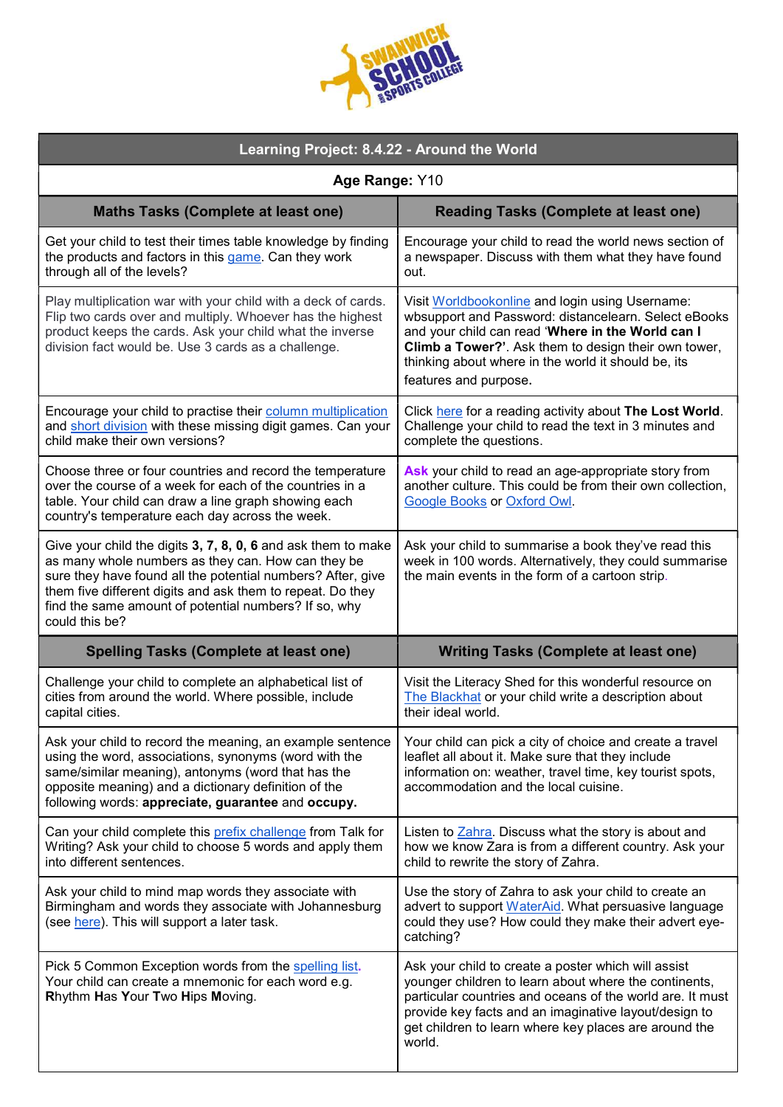| <b>IS COLLEGE</b> |
|-------------------|
|-------------------|

| Learning Project: 8.4.22 - Around the World                                                                                                                                                                                                                                                                                 |                                                                                                                                                                                                                                                                                                       |  |
|-----------------------------------------------------------------------------------------------------------------------------------------------------------------------------------------------------------------------------------------------------------------------------------------------------------------------------|-------------------------------------------------------------------------------------------------------------------------------------------------------------------------------------------------------------------------------------------------------------------------------------------------------|--|
| Age Range: Y10                                                                                                                                                                                                                                                                                                              |                                                                                                                                                                                                                                                                                                       |  |
| <b>Maths Tasks (Complete at least one)</b>                                                                                                                                                                                                                                                                                  | <b>Reading Tasks (Complete at least one)</b>                                                                                                                                                                                                                                                          |  |
| Get your child to test their times table knowledge by finding<br>the products and factors in this game. Can they work<br>through all of the levels?                                                                                                                                                                         | Encourage your child to read the world news section of<br>a newspaper. Discuss with them what they have found<br>out.                                                                                                                                                                                 |  |
| Play multiplication war with your child with a deck of cards.<br>Flip two cards over and multiply. Whoever has the highest<br>product keeps the cards. Ask your child what the inverse<br>division fact would be. Use 3 cards as a challenge.                                                                               | Visit Worldbookonline and login using Username:<br>wbsupport and Password: distancelearn. Select eBooks<br>and your child can read 'Where in the World can I<br>Climb a Tower?'. Ask them to design their own tower,<br>thinking about where in the world it should be, its<br>features and purpose.  |  |
| Encourage your child to practise their column multiplication<br>and short division with these missing digit games. Can your<br>child make their own versions?                                                                                                                                                               | Click here for a reading activity about The Lost World.<br>Challenge your child to read the text in 3 minutes and<br>complete the questions.                                                                                                                                                          |  |
| Choose three or four countries and record the temperature<br>over the course of a week for each of the countries in a<br>table. Your child can draw a line graph showing each<br>country's temperature each day across the week.                                                                                            | Ask your child to read an age-appropriate story from<br>another culture. This could be from their own collection,<br><b>Google Books or Oxford Owl.</b>                                                                                                                                               |  |
| Give your child the digits 3, 7, 8, 0, 6 and ask them to make<br>as many whole numbers as they can. How can they be<br>sure they have found all the potential numbers? After, give<br>them five different digits and ask them to repeat. Do they<br>find the same amount of potential numbers? If so, why<br>could this be? | Ask your child to summarise a book they've read this<br>week in 100 words. Alternatively, they could summarise<br>the main events in the form of a cartoon strip.                                                                                                                                     |  |
| <b>Spelling Tasks (Complete at least one)</b>                                                                                                                                                                                                                                                                               | <b>Writing Tasks (Complete at least one)</b>                                                                                                                                                                                                                                                          |  |
| Challenge your child to complete an alphabetical list of<br>cities from around the world. Where possible, include<br>capital cities.                                                                                                                                                                                        | Visit the Literacy Shed for this wonderful resource on<br>The Blackhat or your child write a description about<br>their ideal world.                                                                                                                                                                  |  |
| Ask your child to record the meaning, an example sentence<br>using the word, associations, synonyms (word with the<br>same/similar meaning), antonyms (word that has the<br>opposite meaning) and a dictionary definition of the<br>following words: appreciate, guarantee and occupy.                                      | Your child can pick a city of choice and create a travel<br>leaflet all about it. Make sure that they include<br>information on: weather, travel time, key tourist spots,<br>accommodation and the local cuisine.                                                                                     |  |
| Can your child complete this prefix challenge from Talk for<br>Writing? Ask your child to choose 5 words and apply them<br>into different sentences.                                                                                                                                                                        | Listen to Zahra. Discuss what the story is about and<br>how we know Zara is from a different country. Ask your<br>child to rewrite the story of Zahra.                                                                                                                                                |  |
| Ask your child to mind map words they associate with<br>Birmingham and words they associate with Johannesburg<br>(see here). This will support a later task.                                                                                                                                                                | Use the story of Zahra to ask your child to create an<br>advert to support WaterAid. What persuasive language<br>could they use? How could they make their advert eye-<br>catching?                                                                                                                   |  |
| Pick 5 Common Exception words from the spelling list.<br>Your child can create a mnemonic for each word e.g.<br>Rhythm Has Your Two Hips Moving.                                                                                                                                                                            | Ask your child to create a poster which will assist<br>younger children to learn about where the continents,<br>particular countries and oceans of the world are. It must<br>provide key facts and an imaginative layout/design to<br>get children to learn where key places are around the<br>world. |  |